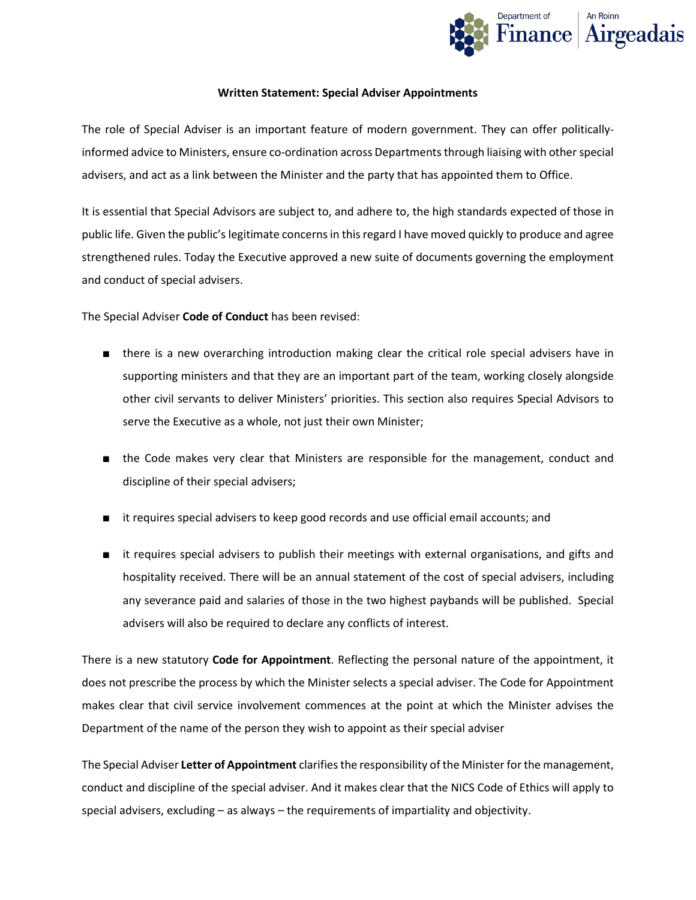

## **Written Statement: Special Adviser Appointments**

The role of Special Adviser is an important feature of modern government. They can offer politicallyinformed advice to Ministers, ensure co-ordination across Departments through liaising with other special advisers, and act as a link between the Minister and the party that has appointed them to Office.

It is essential that Special Advisors are subject to, and adhere to, the high standards expected of those in public life. Given the public's legitimate concerns in this regard I have moved quickly to produce and agree strengthened rules. Today the Executive approved a new suite of documents governing the employment and conduct of special advisers.

The Special Adviser **Code of Conduct** has been revised:

- there is a new overarching introduction making clear the critical role special advisers have in supporting ministers and that they are an important part of the team, working closely alongside other civil servants to deliver Ministers' priorities. This section also requires Special Advisors to serve the Executive as a whole, not just their own Minister;
- the Code makes very clear that Ministers are responsible for the management, conduct and discipline of their special advisers;
- it requires special advisers to keep good records and use official email accounts; and
- it requires special advisers to publish their meetings with external organisations, and gifts and hospitality received. There will be an annual statement of the cost of special advisers, including any severance paid and salaries of those in the two highest paybands will be published. Special advisers will also be required to declare any conflicts of interest.

There is a new statutory **Code for Appointment**. Reflecting the personal nature of the appointment, it does not prescribe the process by which the Minister selects a special adviser. The Code for Appointment makes clear that civil service involvement commences at the point at which the Minister advises the Department of the name of the person they wish to appoint as their special adviser

The Special Adviser **Letter of Appointment** clarifies the responsibility of the Minister for the management, conduct and discipline of the special adviser. And it makes clear that the NICS Code of Ethics will apply to special advisers, excluding – as always – the requirements of impartiality and objectivity.